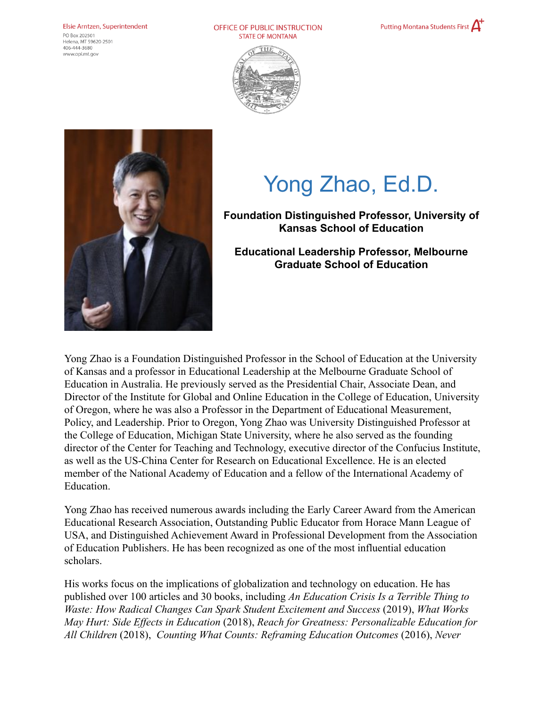## Elsie Arntzen, Superintendent

PO Box 202501 Helena, MT 59620-2501  $406 - 444 - 3680$ www.opi.mt.gov

OFFICE OF PUBLIC INSTRUCTION **STATE OF MONTANA** 







## Yong Zhao, Ed.D.

## **Foundation Distinguished Professor, University of Kansas School of Education**

**Educational Leadership Professor, Melbourne Graduate School of Education**

Yong Zhao is a Foundation Distinguished Professor in the School of Education at the University of Kansas and a professor in Educational Leadership at the Melbourne Graduate School of Education in Australia. He previously served as the Presidential Chair, Associate Dean, and Director of the Institute for Global and Online Education in the College of Education, University of Oregon, where he was also a Professor in the Department of Educational Measurement, Policy, and Leadership. Prior to Oregon, Yong Zhao was University Distinguished Professor at the College of Education, Michigan State University, where he also served as the founding director of the Center for Teaching and Technology, executive director of the Confucius Institute, as well as the US-China Center for Research on Educational Excellence. He is an elected member of the National Academy of Education and a fellow of the International Academy of Education.

Yong Zhao has received numerous awards including the Early Career Award from the American Educational Research Association, Outstanding Public Educator from Horace Mann League of USA, and Distinguished Achievement Award in Professional Development from the Association of Education Publishers. He has been recognized as one of the most influential education scholars.

His works focus on the implications of globalization and technology on education. He has published over 100 articles and 30 books, including *An Education Crisis Is a Terrible Thing to Waste: How Radical Changes Can Spark Student Excitement and Success* (2019), *What Works May Hurt: Side Effects in Education* (2018), *Reach for Greatness: Personalizable Education for All Children* (2018), *Counting What Counts: Reframing Education Outcomes* (2016), *Never*